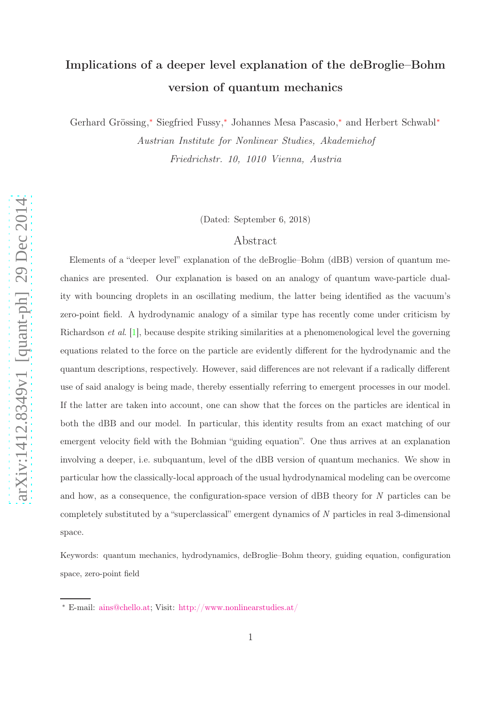# Implications of a deeper level explanation of the deBroglie–Bohm version of quantum mechanics

Gerhard Grössing,[∗](#page-0-0) Siegfried Fussy,[∗](#page-0-0) Johannes Mesa Pascasio,[∗](#page-0-0) and Herbert Schwabl[∗](#page-0-0) Austrian Institute for Nonlinear Studies, Akademiehof Friedrichstr. 10, 1010 Vienna, Austria

(Dated: September 6, 2018)

### Abstract

Elements of a "deeper level" explanation of the deBroglie–Bohm (dBB) version of quantum mechanics are presented. Our explanation is based on an analogy of quantum wave-particle duality with bouncing droplets in an oscillating medium, the latter being identified as the vacuum's zero-point field. A hydrodynamic analogy of a similar type has recently come under criticism by Richardson *et al*. [\[1](#page-11-0)], because despite striking similarities at a phenomenological level the governing equations related to the force on the particle are evidently different for the hydrodynamic and the quantum descriptions, respectively. However, said differences are not relevant if a radically different use of said analogy is being made, thereby essentially referring to emergent processes in our model. If the latter are taken into account, one can show that the forces on the particles are identical in both the dBB and our model. In particular, this identity results from an exact matching of our emergent velocity field with the Bohmian "guiding equation". One thus arrives at an explanation involving a deeper, i.e. subquantum, level of the dBB version of quantum mechanics. We show in particular how the classically-local approach of the usual hydrodynamical modeling can be overcome and how, as a consequence, the configuration-space version of dBB theory for *N* particles can be completely substituted by a "superclassical" emergent dynamics of *N* particles in real 3-dimensional space.

Keywords: quantum mechanics, hydrodynamics, deBroglie–Bohm theory, guiding equation, configuration space, zero-point field

<span id="page-0-0"></span><sup>∗</sup> E-mail: [ains@chello.at;](mailto:ains@chello.at) Visit: <http://www.nonlinearstudies.at/>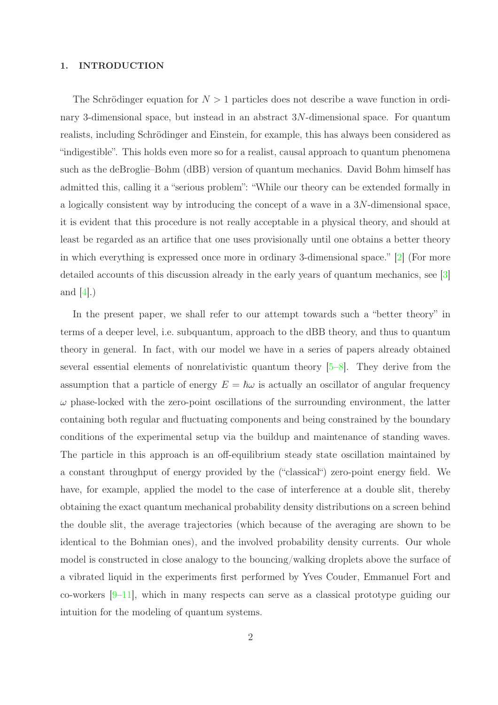#### 1. INTRODUCTION

The Schrödinger equation for  $N > 1$  particles does not describe a wave function in ordinary 3-dimensional space, but instead in an abstract 3N-dimensional space. For quantum realists, including Schrödinger and Einstein, for example, this has always been considered as "indigestible". This holds even more so for a realist, causal approach to quantum phenomena such as the deBroglie–Bohm (dBB) version of quantum mechanics. David Bohm himself has admitted this, calling it a "serious problem": "While our theory can be extended formally in a logically consistent way by introducing the concept of a wave in a 3N-dimensional space, it is evident that this procedure is not really acceptable in a physical theory, and should at least be regarded as an artifice that one uses provisionally until one obtains a better theory in which everything is expressed once more in ordinary 3-dimensional space." [\[2](#page-11-1)] (For more detailed accounts of this discussion already in the early years of quantum mechanics, see [\[3\]](#page-11-2) and  $[4]$ .)

In the present paper, we shall refer to our attempt towards such a "better theory" in terms of a deeper level, i.e. subquantum, approach to the dBB theory, and thus to quantum theory in general. In fact, with our model we have in a series of papers already obtained several essential elements of nonrelativistic quantum theory  $|5-8|$ . They derive from the assumption that a particle of energy  $E = \hbar \omega$  is actually an oscillator of angular frequency  $\omega$  phase-locked with the zero-point oscillations of the surrounding environment, the latter containing both regular and fluctuating components and being constrained by the boundary conditions of the experimental setup via the buildup and maintenance of standing waves. The particle in this approach is an off-equilibrium steady state oscillation maintained by a constant throughput of energy provided by the ("classical") zero-point energy field. We have, for example, applied the model to the case of interference at a double slit, thereby obtaining the exact quantum mechanical probability density distributions on a screen behind the double slit, the average trajectories (which because of the averaging are shown to be identical to the Bohmian ones), and the involved probability density currents. Our whole model is constructed in close analogy to the bouncing/walking droplets above the surface of a vibrated liquid in the experiments first performed by Yves Couder, Emmanuel Fort and co-workers  $[9-11]$ , which in many respects can serve as a classical prototype guiding our intuition for the modeling of quantum systems.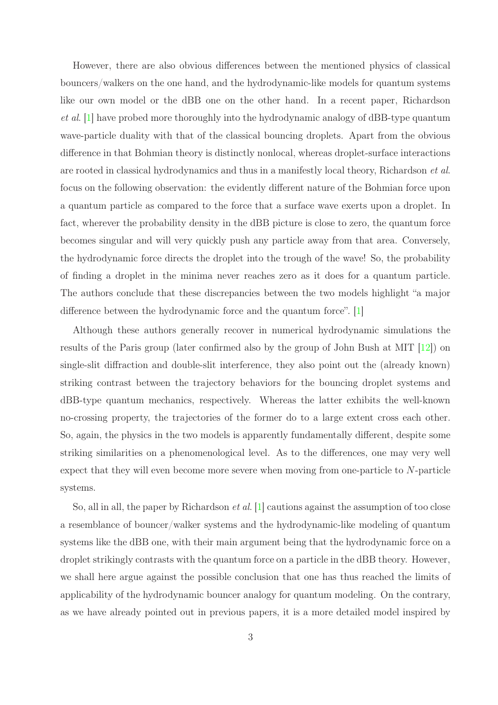However, there are also obvious differences between the mentioned physics of classical bouncers/walkers on the one hand, and the hydrodynamic-like models for quantum systems like our own model or the dBB one on the other hand. In a recent paper, Richardson et al. [\[1](#page-11-0)] have probed more thoroughly into the hydrodynamic analogy of dBB-type quantum wave-particle duality with that of the classical bouncing droplets. Apart from the obvious difference in that Bohmian theory is distinctly nonlocal, whereas droplet-surface interactions are rooted in classical hydrodynamics and thus in a manifestly local theory, Richardson et al. focus on the following observation: the evidently different nature of the Bohmian force upon a quantum particle as compared to the force that a surface wave exerts upon a droplet. In fact, wherever the probability density in the dBB picture is close to zero, the quantum force becomes singular and will very quickly push any particle away from that area. Conversely, the hydrodynamic force directs the droplet into the trough of the wave! So, the probability of finding a droplet in the minima never reaches zero as it does for a quantum particle. The authors conclude that these discrepancies between the two models highlight "a major difference between the hydrodynamic force and the quantum force". [\[1\]](#page-11-0)

Although these authors generally recover in numerical hydrodynamic simulations the results of the Paris group (later confirmed also by the group of John Bush at MIT [\[12](#page-12-2)]) on single-slit diffraction and double-slit interference, they also point out the (already known) striking contrast between the trajectory behaviors for the bouncing droplet systems and dBB-type quantum mechanics, respectively. Whereas the latter exhibits the well-known no-crossing property, the trajectories of the former do to a large extent cross each other. So, again, the physics in the two models is apparently fundamentally different, despite some striking similarities on a phenomenological level. As to the differences, one may very well expect that they will even become more severe when moving from one-particle to N-particle systems.

So, all in all, the paper by Richardson *et al.* [\[1](#page-11-0)] cautions against the assumption of too close a resemblance of bouncer/walker systems and the hydrodynamic-like modeling of quantum systems like the dBB one, with their main argument being that the hydrodynamic force on a droplet strikingly contrasts with the quantum force on a particle in the dBB theory. However, we shall here argue against the possible conclusion that one has thus reached the limits of applicability of the hydrodynamic bouncer analogy for quantum modeling. On the contrary, as we have already pointed out in previous papers, it is a more detailed model inspired by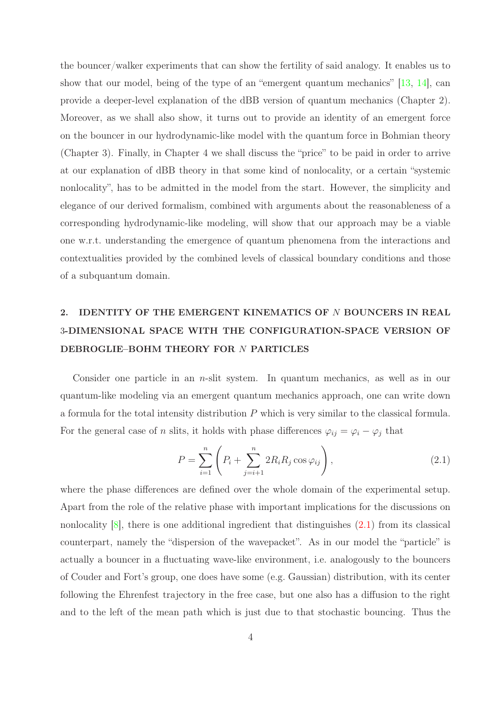the bouncer/walker experiments that can show the fertility of said analogy. It enables us to show that our model, being of the type of an "emergent quantum mechanics" [\[13,](#page-12-3) [14\]](#page-12-4), can provide a deeper-level explanation of the dBB version of quantum mechanics (Chapter 2). Moreover, as we shall also show, it turns out to provide an identity of an emergent force on the bouncer in our hydrodynamic-like model with the quantum force in Bohmian theory (Chapter 3). Finally, in Chapter 4 we shall discuss the "price" to be paid in order to arrive at our explanation of dBB theory in that some kind of nonlocality, or a certain "systemic nonlocality", has to be admitted in the model from the start. However, the simplicity and elegance of our derived formalism, combined with arguments about the reasonableness of a corresponding hydrodynamic-like modeling, will show that our approach may be a viable one w.r.t. understanding the emergence of quantum phenomena from the interactions and contextualities provided by the combined levels of classical boundary conditions and those of a subquantum domain.

## 2. IDENTITY OF THE EMERGENT KINEMATICS OF N BOUNCERS IN REAL 3-DIMENSIONAL SPACE WITH THE CONFIGURATION-SPACE VERSION OF DEBROGLIE–BOHM THEORY FOR N PARTICLES

Consider one particle in an n-slit system. In quantum mechanics, as well as in our quantum-like modeling via an emergent quantum mechanics approach, one can write down a formula for the total intensity distribution P which is very similar to the classical formula. For the general case of n slits, it holds with phase differences  $\varphi_{ij} = \varphi_i - \varphi_j$  that

<span id="page-3-0"></span>
$$
P = \sum_{i=1}^{n} \left( P_i + \sum_{j=i+1}^{n} 2R_i R_j \cos \varphi_{ij} \right),
$$
 (2.1)

where the phase differences are defined over the whole domain of the experimental setup. Apart from the role of the relative phase with important implications for the discussions on nonlocality  $[8]$ , there is one additional ingredient that distinguishes  $(2.1)$  from its classical counterpart, namely the "dispersion of the wavepacket". As in our model the "particle" is actually a bouncer in a fluctuating wave-like environment, i.e. analogously to the bouncers of Couder and Fort's group, one does have some (e.g. Gaussian) distribution, with its center following the Ehrenfest trajectory in the free case, but one also has a diffusion to the right and to the left of the mean path which is just due to that stochastic bouncing. Thus the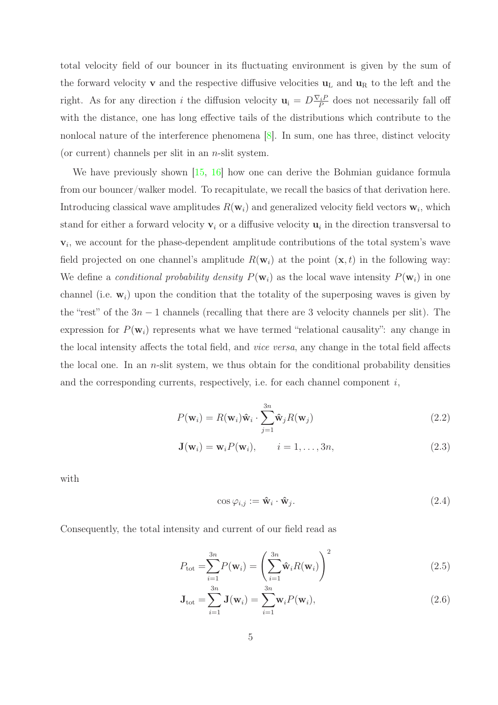total velocity field of our bouncer in its fluctuating environment is given by the sum of the forward velocity **v** and the respective diffusive velocities  $\mathbf{u}_L$  and  $\mathbf{u}_R$  to the left and the right. As for any direction i the diffusion velocity  $\mathbf{u}_i = D \frac{\nabla_i P}{P}$  $\frac{q_i P}{P}$  does not necessarily fall off with the distance, one has long effective tails of the distributions which contribute to the nonlocal nature of the interference phenomena [\[8](#page-11-5)]. In sum, one has three, distinct velocity (or current) channels per slit in an  $n$ -slit system.

We have previously shown [\[15](#page-12-5), [16](#page-12-6)] how one can derive the Bohmian guidance formula from our bouncer/walker model. To recapitulate, we recall the basics of that derivation here. Introducing classical wave amplitudes  $R(\mathbf{w}_i)$  and generalized velocity field vectors  $\mathbf{w}_i$ , which stand for either a forward velocity  $\mathbf{v}_i$  or a diffusive velocity  $\mathbf{u}_i$  in the direction transversal to  $v_i$ , we account for the phase-dependent amplitude contributions of the total system's wave field projected on one channel's amplitude  $R(\mathbf{w}_i)$  at the point  $(\mathbf{x}, t)$  in the following way: We define a *conditional probability density*  $P(\mathbf{w}_i)$  as the local wave intensity  $P(\mathbf{w}_i)$  in one channel (i.e.  $w_i$ ) upon the condition that the totality of the superposing waves is given by the "rest" of the  $3n - 1$  channels (recalling that there are 3 velocity channels per slit). The expression for  $P(\mathbf{w}_i)$  represents what we have termed "relational causality": any change in the local intensity affects the total field, and vice versa, any change in the total field affects the local one. In an  $n$ -slit system, we thus obtain for the conditional probability densities and the corresponding currents, respectively, i.e. for each channel component  $i$ ,

$$
P(\mathbf{w}_i) = R(\mathbf{w}_i) \hat{\mathbf{w}}_i \cdot \sum_{j=1}^{3n} \hat{\mathbf{w}}_j R(\mathbf{w}_j)
$$
(2.2)

$$
\mathbf{J}(\mathbf{w}_i) = \mathbf{w}_i P(\mathbf{w}_i), \qquad i = 1, \dots, 3n,
$$
\n(2.3)

with

$$
\cos \varphi_{i,j} := \hat{\mathbf{w}}_i \cdot \hat{\mathbf{w}}_j. \tag{2.4}
$$

Consequently, the total intensity and current of our field read as

$$
P_{\text{tot}} = \sum_{i=1}^{3n} P(\mathbf{w}_i) = \left(\sum_{i=1}^{3n} \hat{\mathbf{w}}_i R(\mathbf{w}_i)\right)^2 \tag{2.5}
$$

$$
\mathbf{J}_{\text{tot}} = \sum_{i=1}^{3n} \mathbf{J}(\mathbf{w}_i) = \sum_{i=1}^{3n} \mathbf{w}_i P(\mathbf{w}_i),
$$
\n(2.6)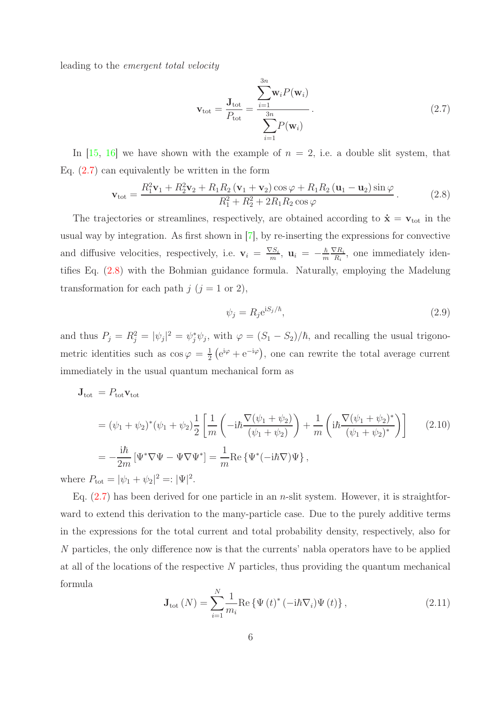leading to the emergent total velocity

<span id="page-5-0"></span>
$$
\mathbf{v}_{\text{tot}} = \frac{\mathbf{J}_{\text{tot}}}{P_{\text{tot}}} = \frac{\sum_{i=1}^{3n} \mathbf{w}_i P(\mathbf{w}_i)}{\sum_{i=1}^{3n} P(\mathbf{w}_i)}.
$$
(2.7)

In  $[15, 16]$  $[15, 16]$  we have shown with the example of  $n = 2$ , i.e. a double slit system, that Eq. [\(2.7\)](#page-5-0) can equivalently be written in the form

<span id="page-5-1"></span>
$$
\mathbf{v}_{\rm tot} = \frac{R_1^2 \mathbf{v}_1 + R_2^2 \mathbf{v}_2 + R_1 R_2 (\mathbf{v}_1 + \mathbf{v}_2) \cos \varphi + R_1 R_2 (\mathbf{u}_1 - \mathbf{u}_2) \sin \varphi}{R_1^2 + R_2^2 + 2R_1 R_2 \cos \varphi}.
$$
 (2.8)

The trajectories or streamlines, respectively, are obtained according to  $\dot{\mathbf{x}} = \mathbf{v}_{\text{tot}}$  in the usual way by integration. As first shown in [\[7\]](#page-11-6), by re-inserting the expressions for convective and diffusive velocities, respectively, i.e.  $\mathbf{v}_i = \frac{\nabla S_i}{m}$  $\frac{7S_i}{m}, \mathbf{u}_i = -\frac{\hbar}{m}$ m  $\nabla R_i$  $\frac{R_i}{R_i}$ , one immediately identifies Eq. [\(2.8\)](#page-5-1) with the Bohmian guidance formula. Naturally, employing the Madelung transformation for each path  $j$  ( $j = 1$  or 2),

$$
\psi_j = R_j e^{iS_j/\hbar},\tag{2.9}
$$

and thus  $P_j = R_j^2 = |\psi_j|^2 = \psi_j^* \psi_j$ , with  $\varphi = (S_1 - S_2)/\hbar$ , and recalling the usual trigonometric identities such as  $\cos \varphi = \frac{1}{2}$  $\frac{1}{2} (e^{i\varphi} + e^{-i\varphi})$ , one can rewrite the total average current immediately in the usual quantum mechanical form as

$$
\mathbf{J}_{\text{tot}} = P_{\text{tot}} \mathbf{v}_{\text{tot}}
$$

$$
= (\psi_1 + \psi_2)^* (\psi_1 + \psi_2) \frac{1}{2} \left[ \frac{1}{m} \left( -i\hbar \frac{\nabla(\psi_1 + \psi_2)}{(\psi_1 + \psi_2)} \right) + \frac{1}{m} \left( i\hbar \frac{\nabla(\psi_1 + \psi_2)^*}{(\psi_1 + \psi_2)^*} \right) \right]
$$
(2.10)  

$$
= -\frac{i\hbar}{2m} \left[ \Psi^* \nabla \Psi - \Psi \nabla \Psi^* \right] = \frac{1}{m} \text{Re} \left\{ \Psi^* (-i\hbar \nabla) \Psi \right\},
$$

where  $P_{\text{tot}} = |\psi_1 + \psi_2|^2 =: |\Psi|^2$ .

Eq.  $(2.7)$  has been derived for one particle in an *n*-slit system. However, it is straightforward to extend this derivation to the many-particle case. Due to the purely additive terms in the expressions for the total current and total probability density, respectively, also for N particles, the only difference now is that the currents' nabla operators have to be applied at all of the locations of the respective N particles, thus providing the quantum mechanical formula

$$
\mathbf{J}_{\text{tot}}\left(N\right) = \sum_{i=1}^{N} \frac{1}{m_i} \text{Re}\left\{\Psi\left(t\right)^* \left(-i\hbar \nabla_i\right) \Psi\left(t\right)\right\},\tag{2.11}
$$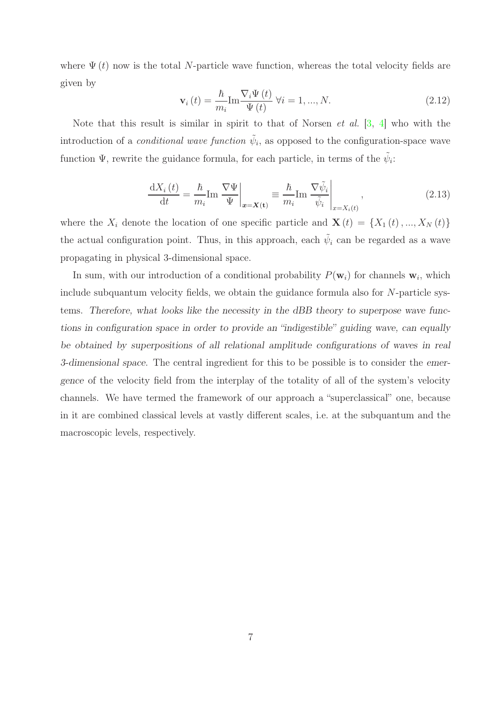where  $\Psi(t)$  now is the total N-particle wave function, whereas the total velocity fields are given by

$$
\mathbf{v}_{i}(t) = \frac{\hbar}{m_{i}} \text{Im} \frac{\nabla_{i} \Psi(t)}{\Psi(t)} \,\forall i = 1, ..., N. \tag{2.12}
$$

Note that this result is similar in spirit to that of Norsen *et al.* [\[3](#page-11-2), [4\]](#page-11-3) who with the introduction of a *conditional wave function*  $\tilde{\psi}_i$ , as opposed to the configuration-space wave function  $\Psi$ , rewrite the guidance formula, for each particle, in terms of the  $\tilde{\psi}_i$ :

$$
\frac{\mathrm{d}X_i(t)}{\mathrm{d}t} = \frac{\hbar}{m_i} \mathrm{Im} \left. \frac{\nabla \Psi}{\Psi} \right|_{\mathbf{x} = \mathbf{X(t)}} \equiv \frac{\hbar}{m_i} \mathrm{Im} \left. \frac{\nabla \tilde{\psi}_i}{\tilde{\psi}_i} \right|_{\mathbf{x} = X_i(t)},\tag{2.13}
$$

where the  $X_i$  denote the location of one specific particle and  $\mathbf{X}(t) = \{X_1(t),...,X_N(t)\}\$ the actual configuration point. Thus, in this approach, each  $\tilde{\psi}_i$  can be regarded as a wave propagating in physical 3-dimensional space.

In sum, with our introduction of a conditional probability  $P(\mathbf{w}_i)$  for channels  $\mathbf{w}_i$ , which include subquantum velocity fields, we obtain the guidance formula also for N-particle systems. Therefore, what looks like the necessity in the dBB theory to superpose wave functions in configuration space in order to provide an "indigestible" guiding wave, can equally be obtained by superpositions of all relational amplitude configurations of waves in real 3-dimensional space. The central ingredient for this to be possible is to consider the emergence of the velocity field from the interplay of the totality of all of the system's velocity channels. We have termed the framework of our approach a "superclassical" one, because in it are combined classical levels at vastly different scales, i.e. at the subquantum and the macroscopic levels, respectively.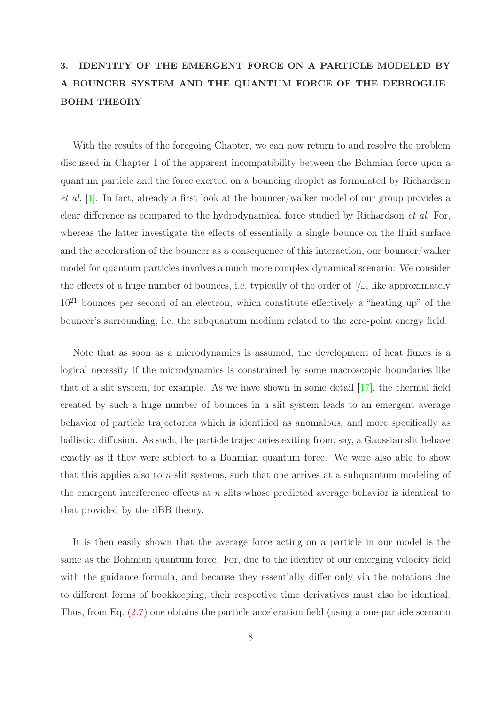## 3. IDENTITY OF THE EMERGENT FORCE ON A PARTICLE MODELED BY A BOUNCER SYSTEM AND THE QUANTUM FORCE OF THE DEBROGLIE– BOHM THEORY

With the results of the foregoing Chapter, we can now return to and resolve the problem discussed in Chapter 1 of the apparent incompatibility between the Bohmian force upon a quantum particle and the force exerted on a bouncing droplet as formulated by Richardson et al. [\[1\]](#page-11-0). In fact, already a first look at the bouncer/walker model of our group provides a clear difference as compared to the hydrodynamical force studied by Richardson et al. For, whereas the latter investigate the effects of essentially a single bounce on the fluid surface and the acceleration of the bouncer as a consequence of this interaction, our bouncer/walker model for quantum particles involves a much more complex dynamical scenario: We consider the effects of a huge number of bounces, i.e. typically of the order of  $1/\omega$ , like approximately 10<sup>21</sup> bounces per second of an electron, which constitute effectively a "heating up" of the bouncer's surrounding, i.e. the subquantum medium related to the zero-point energy field.

Note that as soon as a microdynamics is assumed, the development of heat fluxes is a logical necessity if the microdynamics is constrained by some macroscopic boundaries like that of a slit system, for example. As we have shown in some detail  $[17]$ , the thermal field created by such a huge number of bounces in a slit system leads to an emergent average behavior of particle trajectories which is identified as anomalous, and more specifically as ballistic, diffusion. As such, the particle trajectories exiting from, say, a Gaussian slit behave exactly as if they were subject to a Bohmian quantum force. We were also able to show that this applies also to  $n$ -slit systems, such that one arrives at a subquantum modeling of the emergent interference effects at  $n$  slits whose predicted average behavior is identical to that provided by the dBB theory.

It is then easily shown that the average force acting on a particle in our model is the same as the Bohmian quantum force. For, due to the identity of our emerging velocity field with the guidance formula, and because they essentially differ only via the notations due to different forms of bookkeeping, their respective time derivatives must also be identical. Thus, from Eq. [\(2.7\)](#page-5-0) one obtains the particle acceleration field (using a one-particle scenario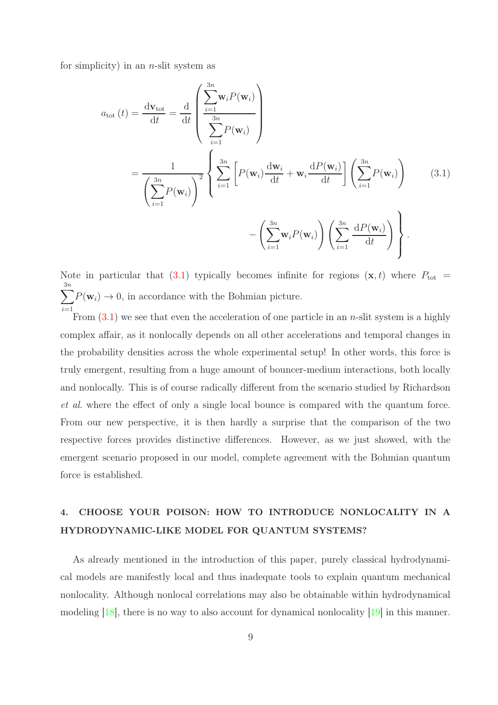for simplicity) in an *n*-slit system as

<span id="page-8-0"></span>
$$
a_{\text{tot}}(t) = \frac{d\mathbf{v}_{\text{tot}}}{dt} = \frac{d}{dt} \left( \frac{\sum_{i=1}^{3n} \mathbf{w}_i P(\mathbf{w}_i)}{\sum_{i=1}^{3n} P(\mathbf{w}_i)} \right)
$$
  
= 
$$
\frac{1}{\left(\sum_{i=1}^{3n} P(\mathbf{w}_i)\right)^2} \left\{ \sum_{i=1}^{3n} \left[ P(\mathbf{w}_i) \frac{d\mathbf{w}_i}{dt} + \mathbf{w}_i \frac{dP(\mathbf{w}_i)}{dt} \right] \left( \sum_{i=1}^{3n} P(\mathbf{w}_i) \right) \right\}
$$
(3.1)
$$
- \left( \sum_{i=1}^{3n} \mathbf{w}_i P(\mathbf{w}_i) \right) \left( \sum_{i=1}^{3n} \frac{dP(\mathbf{w}_i)}{dt} \right) \right\}.
$$

Note in particular that [\(3.1\)](#page-8-0) typically becomes infinite for regions  $(\mathbf{x}, t)$  where  $P_{\text{tot}} =$  $\sum$ 3n  $P(\mathbf{w}_i) \to 0$ , in accordance with the Bohmian picture.

 $i=1$ From  $(3.1)$  we see that even the acceleration of one particle in an *n*-slit system is a highly complex affair, as it nonlocally depends on all other accelerations and temporal changes in the probability densities across the whole experimental setup! In other words, this force is truly emergent, resulting from a huge amount of bouncer-medium interactions, both locally and nonlocally. This is of course radically different from the scenario studied by Richardson et al. where the effect of only a single local bounce is compared with the quantum force. From our new perspective, it is then hardly a surprise that the comparison of the two respective forces provides distinctive differences. However, as we just showed, with the emergent scenario proposed in our model, complete agreement with the Bohmian quantum force is established.

### 4. CHOOSE YOUR POISON: HOW TO INTRODUCE NONLOCALITY IN A HYDRODYNAMIC-LIKE MODEL FOR QUANTUM SYSTEMS?

As already mentioned in the introduction of this paper, purely classical hydrodynamical models are manifestly local and thus inadequate tools to explain quantum mechanical nonlocality. Although nonlocal correlations may also be obtainable within hydrodynamical modeling [\[18\]](#page-12-8), there is no way to also account for dynamical nonlocality [\[19](#page-12-9)] in this manner.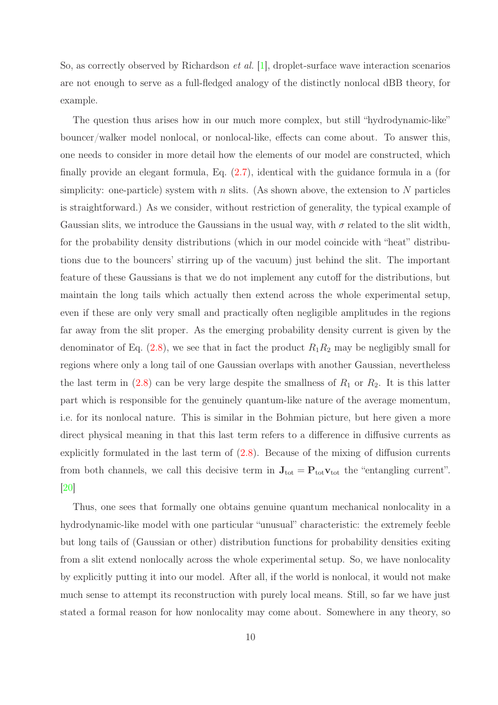So, as correctly observed by Richardson et al. [\[1](#page-11-0)], droplet-surface wave interaction scenarios are not enough to serve as a full-fledged analogy of the distinctly nonlocal dBB theory, for example.

The question thus arises how in our much more complex, but still "hydrodynamic-like" bouncer/walker model nonlocal, or nonlocal-like, effects can come about. To answer this, one needs to consider in more detail how the elements of our model are constructed, which finally provide an elegant formula, Eq. [\(2.7\)](#page-5-0), identical with the guidance formula in a (for simplicity: one-particle) system with n slits. (As shown above, the extension to N particles is straightforward.) As we consider, without restriction of generality, the typical example of Gaussian slits, we introduce the Gaussians in the usual way, with  $\sigma$  related to the slit width, for the probability density distributions (which in our model coincide with "heat" distributions due to the bouncers' stirring up of the vacuum) just behind the slit. The important feature of these Gaussians is that we do not implement any cutoff for the distributions, but maintain the long tails which actually then extend across the whole experimental setup, even if these are only very small and practically often negligible amplitudes in the regions far away from the slit proper. As the emerging probability density current is given by the denominator of Eq.  $(2.8)$ , we see that in fact the product  $R_1R_2$  may be negligibly small for regions where only a long tail of one Gaussian overlaps with another Gaussian, nevertheless the last term in  $(2.8)$  can be very large despite the smallness of  $R_1$  or  $R_2$ . It is this latter part which is responsible for the genuinely quantum-like nature of the average momentum, i.e. for its nonlocal nature. This is similar in the Bohmian picture, but here given a more direct physical meaning in that this last term refers to a difference in diffusive currents as explicitly formulated in the last term of [\(2.8\)](#page-5-1). Because of the mixing of diffusion currents from both channels, we call this decisive term in  $J_{\text{tot}} = P_{\text{tot}} v_{\text{tot}}$  the "entangling current". [\[20](#page-12-10)]

Thus, one sees that formally one obtains genuine quantum mechanical nonlocality in a hydrodynamic-like model with one particular "unusual" characteristic: the extremely feeble but long tails of (Gaussian or other) distribution functions for probability densities exiting from a slit extend nonlocally across the whole experimental setup. So, we have nonlocality by explicitly putting it into our model. After all, if the world is nonlocal, it would not make much sense to attempt its reconstruction with purely local means. Still, so far we have just stated a formal reason for how nonlocality may come about. Somewhere in any theory, so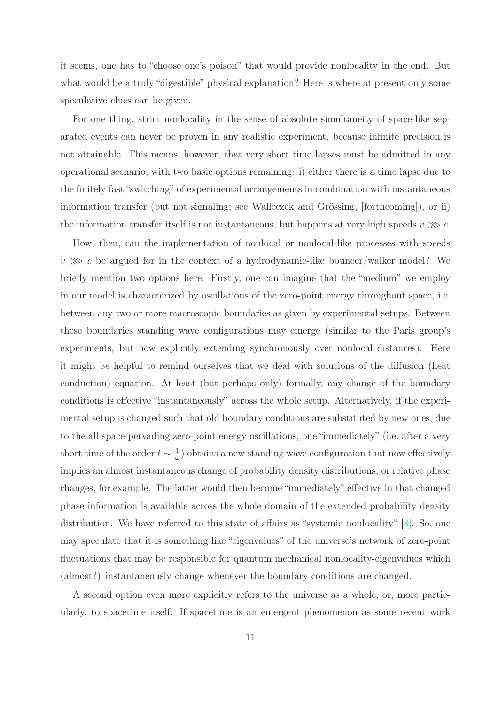it seems, one has to "choose one's poison" that would provide nonlocality in the end. But what would be a truly "digestible" physical explanation? Here is where at present only some speculative clues can be given.

For one thing, strict nonlocality in the sense of absolute simultaneity of space-like separated events can never be proven in any realistic experiment, because infinite precision is not attainable. This means, however, that very short time lapses must be admitted in any operational scenario, with two basic options remaining: i) either there is a time lapse due to the finitely fast "switching" of experimental arrangements in combination with instantaneous information transfer (but not signaling; see Walleczek and Grössing, [forthcoming]), or ii) the information transfer itself is not instantaneous, but happens at very high speeds  $v \ggg c$ .

How, then, can the implementation of nonlocal or nonlocal-like processes with speeds  $v \gg c$  be argued for in the context of a hydrodynamic-like bouncer/walker model? We briefly mention two options here. Firstly, one can imagine that the "medium" we employ in our model is characterized by oscillations of the zero-point energy throughout space, i.e. between any two or more macroscopic boundaries as given by experimental setups. Between these boundaries standing wave configurations may emerge (similar to the Paris group's experiments, but now explicitly extending synchronously over nonlocal distances). Here it might be helpful to remind ourselves that we deal with solutions of the diffusion (heat conduction) equation. At least (but perhaps only) formally, any change of the boundary conditions is effective "instantaneously" across the whole setup. Alternatively, if the experimental setup is changed such that old boundary conditions are substituted by new ones, due to the all-space-pervading zero-point energy oscillations, one "immediately" (i.e. after a very short time of the order  $t \sim \frac{1}{\omega}$  $\frac{1}{\omega}$ ) obtains a new standing wave configuration that now effectively implies an almost instantaneous change of probability density distributions, or relative phase changes, for example. The latter would then become "immediately" effective in that changed phase information is available across the whole domain of the extended probability density distribution. We have referred to this state of affairs as "systemic nonlocality" [\[8](#page-11-5)]. So, one may speculate that it is something like "eigenvalues" of the universe's network of zero-point fluctuations that may be responsible for quantum mechanical nonlocality-eigenvalues which (almost?) instantaneously change whenever the boundary conditions are changed.

A second option even more explicitly refers to the universe as a whole, or, more particularly, to spacetime itself. If spacetime is an emergent phenomenon as some recent work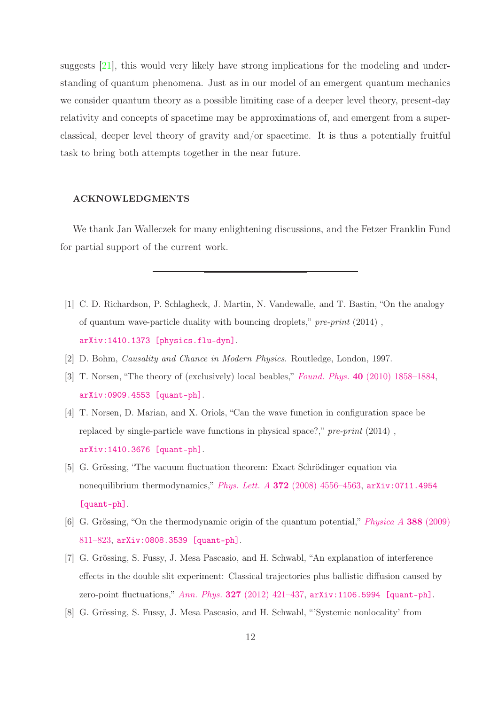suggests [\[21](#page-13-0)], this would very likely have strong implications for the modeling and understanding of quantum phenomena. Just as in our model of an emergent quantum mechanics we consider quantum theory as a possible limiting case of a deeper level theory, present-day relativity and concepts of spacetime may be approximations of, and emergent from a superclassical, deeper level theory of gravity and/or spacetime. It is thus a potentially fruitful task to bring both attempts together in the near future.

#### ACKNOWLEDGMENTS

We thank Jan Walleczek for many enlightening discussions, and the Fetzer Franklin Fund for partial support of the current work.

- <span id="page-11-0"></span>[1] C. D. Richardson, P. Schlagheck, J. Martin, N. Vandewalle, and T. Bastin, "On the analogy of quantum wave-particle duality with bouncing droplets," *pre-print* (2014) , [arXiv:1410.1373 \[physics.flu-dyn\]](http://arxiv.org/abs/1410.1373).
- <span id="page-11-2"></span><span id="page-11-1"></span>[2] D. Bohm, *Causality and Chance in Modern Physics*. Routledge, London, 1997.
- [3] T. Norsen, "The theory of (exclusively) local beables," *Found. Phys.* 40 [\(2010\) 1858–1884,](http://dx.doi.org/10.1007/s10701-010-9495-2) [arXiv:0909.4553 \[quant-ph\]](http://arxiv.org/abs/0909.4553).
- <span id="page-11-3"></span>[4] T. Norsen, D. Marian, and X. Oriols, "Can the wave function in configuration space be replaced by single-particle wave functions in physical space?," *pre-print* (2014) , [arXiv:1410.3676 \[quant-ph\]](http://arxiv.org/abs/1410.3676).
- <span id="page-11-4"></span>[5] G. Grössing, "The vacuum fluctuation theorem: Exact Schrödinger equation via nonequilibrium thermodynamics," *Phys. Lett. A* 372 [\(2008\) 4556–4563,](http://dx.doi.org/10.1016/j.physleta.2008.05.007) arXiv:0711.4954 [quant-ph][.](http://arxiv.org/abs/0711.4954)
- [6] G. Grössing, "On the thermodynamic origin of the quantum potential," *Physica A* 388 (2009) 811–823, [arXiv:0808.3539 \[quant-ph\]](http://arxiv.org/abs/0808.3539).
- <span id="page-11-6"></span>[7] G. Grössing, S. Fussy, J. Mesa Pascasio, and H. Schwabl, "An explanation of interference effects in the double slit experiment: Classical trajectories plus ballistic diffusion caused by zero-point fluctuations," *Ann. Phys.* 327 [\(2012\) 421–437,](http://dx.doi.org/10.1016/j.aop.2011.11.010) [arXiv:1106.5994 \[quant-ph\]](http://arxiv.org/abs/1106.5994).
- <span id="page-11-5"></span>[8] G. Grössing, S. Fussy, J. Mesa Pascasio, and H. Schwabl, "'Systemic nonlocality' from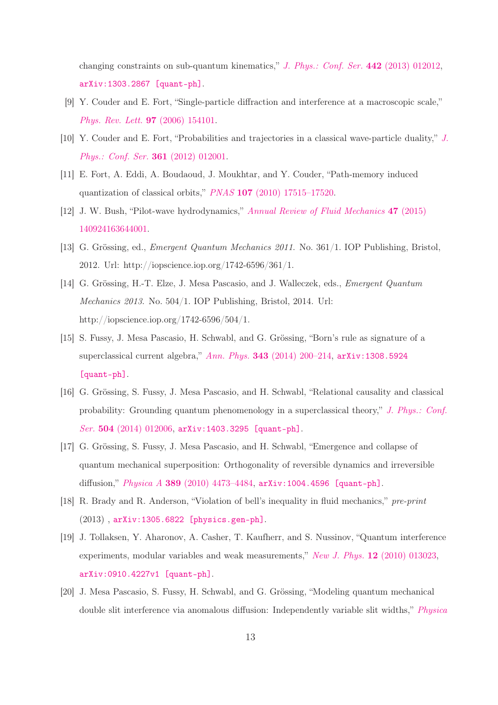changing constraints on sub-quantum kinematics," *[J. Phys.: Conf. Ser.](http://dx.doi.org/10.1088/1742-6596/442/1/012012)* 442 (2013) 012012, [arXiv:1303.2867 \[quant-ph\]](http://arxiv.org/abs/1303.2867).

- <span id="page-12-0"></span>[9] Y. Couder and E. Fort, "Single-particle diffraction and interference at a macroscopic scale," *[Phys. Rev. Lett.](http://dx.doi.org/10.1103/PhysRevLett.97.154101)* 97 (2006) 154101.
- [10] Y. Couder and E. Fort, "Probabilities and trajectories in a classical wave-particle duality," *J. Phys.: Conf. Ser.* 361 (2012) 012001.
- <span id="page-12-1"></span>[11] E. Fort, A. Eddi, A. Boudaoud, J. Moukhtar, and Y. Couder, "Path-memory induced quantization of classical orbits," *PNAS* 107 [\(2010\) 17515–17520.](http://dx.doi.org/10.1073/pnas.1007386107)
- <span id="page-12-2"></span>[12] J. W. Bush, "Pilot-wave hydrodynamics," *Annual Review of Fluid Mechanics* 47 (2015) 140924163644001.
- <span id="page-12-3"></span>[13] G. Grössing, ed., *Emergent Quantum Mechanics 2011*. No. 361/1. IOP Publishing, Bristol, 2012. Url: http://iopscience.iop.org/1742-6596/361/1.
- <span id="page-12-4"></span>[14] G. Grössing, H.-T. Elze, J. Mesa Pascasio, and J. Walleczek, eds., *Emergent Quantum Mechanics 2013*. No. 504/1. IOP Publishing, Bristol, 2014. Url: http://iopscience.iop.org/1742-6596/504/1.
- <span id="page-12-5"></span>[15] S. Fussy, J. Mesa Pascasio, H. Schwabl, and G. Grössing, "Born's rule as signature of a superclassical current algebra," *Ann. Phys.* 343 [\(2014\) 200–214,](http://dx.doi.org/10.1016/j.aop.2014.02.002) arXiv:1308.5924 [quant-ph].
- <span id="page-12-6"></span>[16] G. Grössing, S. Fussy, J. Mesa Pascasio, and H. Schwabl, "Relational causality and classical probability: Grounding quantum phenomenology in a superclassical theory," *J. Phys.: Conf. Ser.* 504 (2014) 012006, [arXiv:1403.3295 \[quant-ph\]](http://arxiv.org/abs/1403.3295).
- <span id="page-12-7"></span>[17] G. Grössing, S. Fussy, J. Mesa Pascasio, and H. Schwabl, "Emergence and collapse of quantum mechanical superposition: Orthogonality of reversible dynamics and irreversible diffusion," *Physica A* 389 [\(2010\) 4473–4484,](http://dx.doi.org/10.1016/j.physa.2010.07.017) [arXiv:1004.4596 \[quant-ph\]](http://arxiv.org/abs/1004.4596).
- <span id="page-12-8"></span>[18] R. Brady and R. Anderson, "Violation of bell's inequality in fluid mechanics," *pre-print* (2013) , [arXiv:1305.6822 \[physics.gen-ph\]](http://arxiv.org/abs/1305.6822).
- <span id="page-12-9"></span>[19] J. Tollaksen, Y. Aharonov, A. Casher, T. Kaufherr, and S. Nussinov, "Quantum interference experiments, modular variables and weak measurements," *New J. Phys.* 12 [\(2010\) 013023,](http://dx.doi.org/10.1088/1367-2630/12/1/013023) [arXiv:0910.4227v1 \[quant-ph\]](http://arxiv.org/abs/0910.4227v1).
- <span id="page-12-10"></span>[20] J. Mesa Pascasio, S. Fussy, H. Schwabl, and G. Grössing, "Modeling quantum mechanical double slit interference via anomalous diffusion: Independently variable slit widths," *Physica*